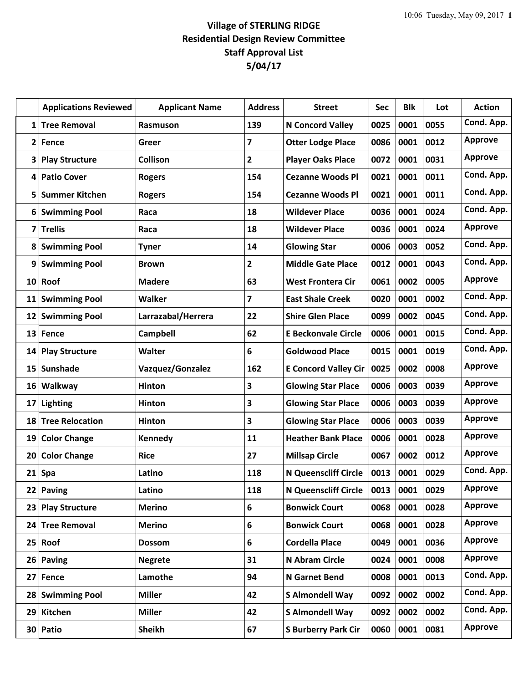## **Village of STERLING RIDGE Residential Design Review Committee Staff Approval List 5/04/17**

|                 | <b>Applications Reviewed</b> | <b>Applicant Name</b> | <b>Address</b>          | <b>Street</b>               | <b>Sec</b> | <b>Blk</b> | Lot  | <b>Action</b>  |
|-----------------|------------------------------|-----------------------|-------------------------|-----------------------------|------------|------------|------|----------------|
| 1               | <b>Tree Removal</b>          | Rasmuson              | 139                     | <b>N Concord Valley</b>     | 0025       | 0001       | 0055 | Cond. App.     |
| $\mathbf{2}$    | Fence                        | Greer                 | 7                       | <b>Otter Lodge Place</b>    | 0086       | 0001       | 0012 | <b>Approve</b> |
| 3               | <b>Play Structure</b>        | <b>Collison</b>       | $\overline{2}$          | <b>Player Oaks Place</b>    | 0072       | 0001       | 0031 | <b>Approve</b> |
| 4               | <b>Patio Cover</b>           | <b>Rogers</b>         | 154                     | <b>Cezanne Woods Pl</b>     | 0021       | 0001       | 0011 | Cond. App.     |
| 5               | <b>Summer Kitchen</b>        | <b>Rogers</b>         | 154                     | <b>Cezanne Woods Pl</b>     | 0021       | 0001       | 0011 | Cond. App.     |
| 6               | <b>Swimming Pool</b>         | Raca                  | 18                      | <b>Wildever Place</b>       | 0036       | 0001       | 0024 | Cond. App.     |
| 7               | <b>Trellis</b>               | Raca                  | 18                      | <b>Wildever Place</b>       | 0036       | 0001       | 0024 | <b>Approve</b> |
| 8               | <b>Swimming Pool</b>         | <b>Tyner</b>          | 14                      | <b>Glowing Star</b>         | 0006       | 0003       | 0052 | Cond. App.     |
| 9               | <b>Swimming Pool</b>         | <b>Brown</b>          | $\mathbf{2}$            | <b>Middle Gate Place</b>    | 0012       | 0001       | 0043 | Cond. App.     |
| 10              | Roof                         | <b>Madere</b>         | 63                      | <b>West Frontera Cir</b>    | 0061       | 0002       | 0005 | <b>Approve</b> |
| 11              | <b>Swimming Pool</b>         | Walker                | 7                       | <b>East Shale Creek</b>     | 0020       | 0001       | 0002 | Cond. App.     |
| 12              | <b>Swimming Pool</b>         | Larrazabal/Herrera    | 22                      | <b>Shire Glen Place</b>     | 0099       | 0002       | 0045 | Cond. App.     |
| 13              | Fence                        | Campbell              | 62                      | <b>E Beckonvale Circle</b>  | 0006       | 0001       | 0015 | Cond. App.     |
| 14 <sup>1</sup> | <b>Play Structure</b>        | <b>Walter</b>         | 6                       | <b>Goldwood Place</b>       | 0015       | 0001       | 0019 | Cond. App.     |
| 15              | <b>Sunshade</b>              | Vazquez/Gonzalez      | 162                     | <b>E Concord Valley Cir</b> | 0025       | 0002       | 0008 | <b>Approve</b> |
| 16              | Walkway                      | <b>Hinton</b>         | $\overline{\mathbf{3}}$ | <b>Glowing Star Place</b>   | 0006       | 0003       | 0039 | <b>Approve</b> |
| 17              | <b>Lighting</b>              | <b>Hinton</b>         | 3                       | <b>Glowing Star Place</b>   | 0006       | 0003       | 0039 | <b>Approve</b> |
| 18              | <b>Tree Relocation</b>       | <b>Hinton</b>         | $\overline{\mathbf{3}}$ | <b>Glowing Star Place</b>   | 0006       | 0003       | 0039 | <b>Approve</b> |
| 19              | <b>Color Change</b>          | Kennedy               | 11                      | <b>Heather Bank Place</b>   | 0006       | 0001       | 0028 | <b>Approve</b> |
| 20              | <b>Color Change</b>          | <b>Rice</b>           | 27                      | <b>Millsap Circle</b>       | 0067       | 0002       | 0012 | <b>Approve</b> |
| 21              | <b>Spa</b>                   | Latino                | 118                     | <b>N Queenscliff Circle</b> | 0013       | 0001       | 0029 | Cond. App.     |
|                 | 22 Paving                    | Latino                | 118                     | <b>N Queenscliff Circle</b> | 0013       | 0001       | 0029 | <b>Approve</b> |
| 23              | <b>Play Structure</b>        | <b>Merino</b>         | 6                       | <b>Bonwick Court</b>        | 0068       | 0001       | 0028 | <b>Approve</b> |
| 24              | <b>Tree Removal</b>          | <b>Merino</b>         | 6                       | <b>Bonwick Court</b>        | 0068       | 0001       | 0028 | <b>Approve</b> |
| 25 <sub>1</sub> | Roof                         | <b>Dossom</b>         | 6                       | <b>Cordella Place</b>       | 0049       | 0001       | 0036 | <b>Approve</b> |
| 26              | Paving                       | <b>Negrete</b>        | 31                      | N Abram Circle              | 0024       | 0001       | 0008 | <b>Approve</b> |
| 27              | Fence                        | Lamothe               | 94                      | <b>N</b> Garnet Bend        | 0008       | 0001       | 0013 | Cond. App.     |
| 28 <sub>1</sub> | <b>Swimming Pool</b>         | <b>Miller</b>         | 42                      | <b>S Almondell Way</b>      | 0092       | 0002       | 0002 | Cond. App.     |
| 29              | Kitchen                      | <b>Miller</b>         | 42                      | <b>S Almondell Way</b>      | 0092       | 0002       | 0002 | Cond. App.     |
|                 | 30 Patio                     | <b>Sheikh</b>         | 67                      | <b>S Burberry Park Cir</b>  | 0060       | 0001       | 0081 | <b>Approve</b> |